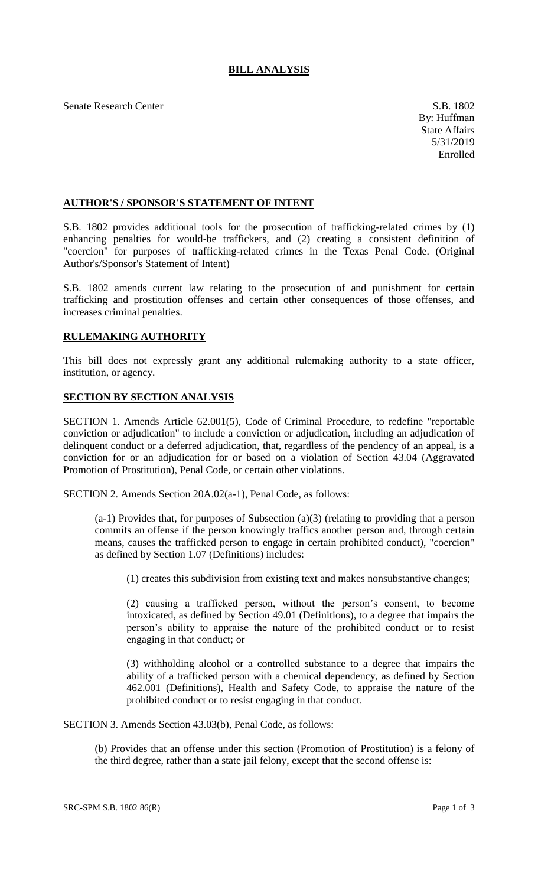Senate Research Center S.B. 1802

## **AUTHOR'S / SPONSOR'S STATEMENT OF INTENT**

S.B. 1802 provides additional tools for the prosecution of trafficking-related crimes by (1) enhancing penalties for would-be traffickers, and (2) creating a consistent definition of "coercion" for purposes of trafficking-related crimes in the Texas Penal Code. (Original Author's/Sponsor's Statement of Intent)

S.B. 1802 amends current law relating to the prosecution of and punishment for certain trafficking and prostitution offenses and certain other consequences of those offenses, and increases criminal penalties.

## **RULEMAKING AUTHORITY**

This bill does not expressly grant any additional rulemaking authority to a state officer, institution, or agency.

## **SECTION BY SECTION ANALYSIS**

SECTION 1. Amends Article 62.001(5), Code of Criminal Procedure, to redefine "reportable conviction or adjudication" to include a conviction or adjudication, including an adjudication of delinquent conduct or a deferred adjudication, that, regardless of the pendency of an appeal, is a conviction for or an adjudication for or based on a violation of Section 43.04 (Aggravated Promotion of Prostitution), Penal Code, or certain other violations.

SECTION 2. Amends Section 20A.02(a-1), Penal Code, as follows:

(a-1) Provides that, for purposes of Subsection (a)(3) (relating to providing that a person commits an offense if the person knowingly traffics another person and, through certain means, causes the trafficked person to engage in certain prohibited conduct), "coercion" as defined by Section 1.07 (Definitions) includes:

(1) creates this subdivision from existing text and makes nonsubstantive changes;

(2) causing a trafficked person, without the person's consent, to become intoxicated, as defined by Section 49.01 (Definitions), to a degree that impairs the person's ability to appraise the nature of the prohibited conduct or to resist engaging in that conduct; or

(3) withholding alcohol or a controlled substance to a degree that impairs the ability of a trafficked person with a chemical dependency, as defined by Section 462.001 (Definitions), Health and Safety Code, to appraise the nature of the prohibited conduct or to resist engaging in that conduct.

SECTION 3. Amends Section 43.03(b), Penal Code, as follows:

(b) Provides that an offense under this section (Promotion of Prostitution) is a felony of the third degree, rather than a state jail felony, except that the second offense is: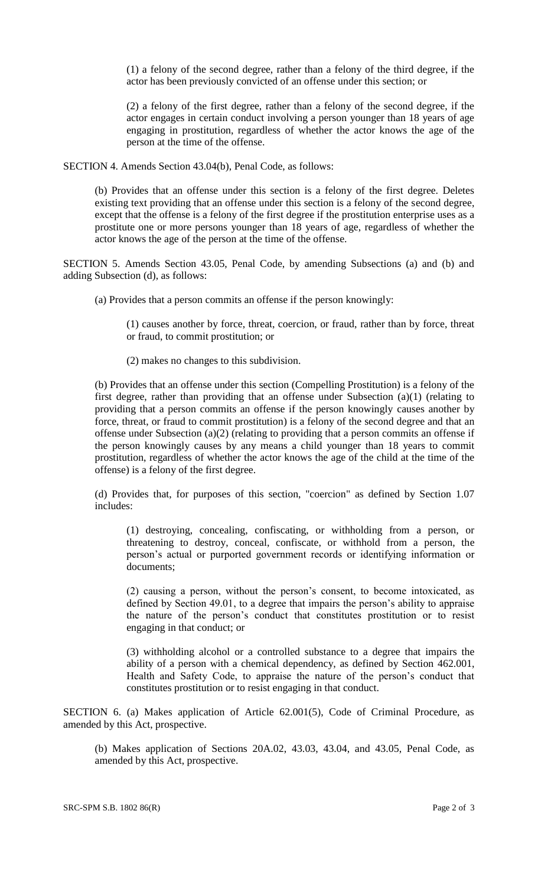(1) a felony of the second degree, rather than a felony of the third degree, if the actor has been previously convicted of an offense under this section; or

(2) a felony of the first degree, rather than a felony of the second degree, if the actor engages in certain conduct involving a person younger than 18 years of age engaging in prostitution, regardless of whether the actor knows the age of the person at the time of the offense.

SECTION 4. Amends Section 43.04(b), Penal Code, as follows:

(b) Provides that an offense under this section is a felony of the first degree. Deletes existing text providing that an offense under this section is a felony of the second degree, except that the offense is a felony of the first degree if the prostitution enterprise uses as a prostitute one or more persons younger than 18 years of age, regardless of whether the actor knows the age of the person at the time of the offense.

SECTION 5. Amends Section 43.05, Penal Code, by amending Subsections (a) and (b) and adding Subsection (d), as follows:

(a) Provides that a person commits an offense if the person knowingly:

(1) causes another by force, threat, coercion, or fraud, rather than by force, threat or fraud, to commit prostitution; or

(2) makes no changes to this subdivision.

(b) Provides that an offense under this section (Compelling Prostitution) is a felony of the first degree, rather than providing that an offense under Subsection (a)(1) (relating to providing that a person commits an offense if the person knowingly causes another by force, threat, or fraud to commit prostitution) is a felony of the second degree and that an offense under Subsection (a)(2) (relating to providing that a person commits an offense if the person knowingly causes by any means a child younger than 18 years to commit prostitution, regardless of whether the actor knows the age of the child at the time of the offense) is a felony of the first degree.

(d) Provides that, for purposes of this section, "coercion" as defined by Section 1.07 includes:

(1) destroying, concealing, confiscating, or withholding from a person, or threatening to destroy, conceal, confiscate, or withhold from a person, the person's actual or purported government records or identifying information or documents;

(2) causing a person, without the person's consent, to become intoxicated, as defined by Section 49.01, to a degree that impairs the person's ability to appraise the nature of the person's conduct that constitutes prostitution or to resist engaging in that conduct; or

(3) withholding alcohol or a controlled substance to a degree that impairs the ability of a person with a chemical dependency, as defined by Section 462.001, Health and Safety Code, to appraise the nature of the person's conduct that constitutes prostitution or to resist engaging in that conduct.

SECTION 6. (a) Makes application of Article 62.001(5), Code of Criminal Procedure, as amended by this Act, prospective.

(b) Makes application of Sections 20A.02, 43.03, 43.04, and 43.05, Penal Code, as amended by this Act, prospective.